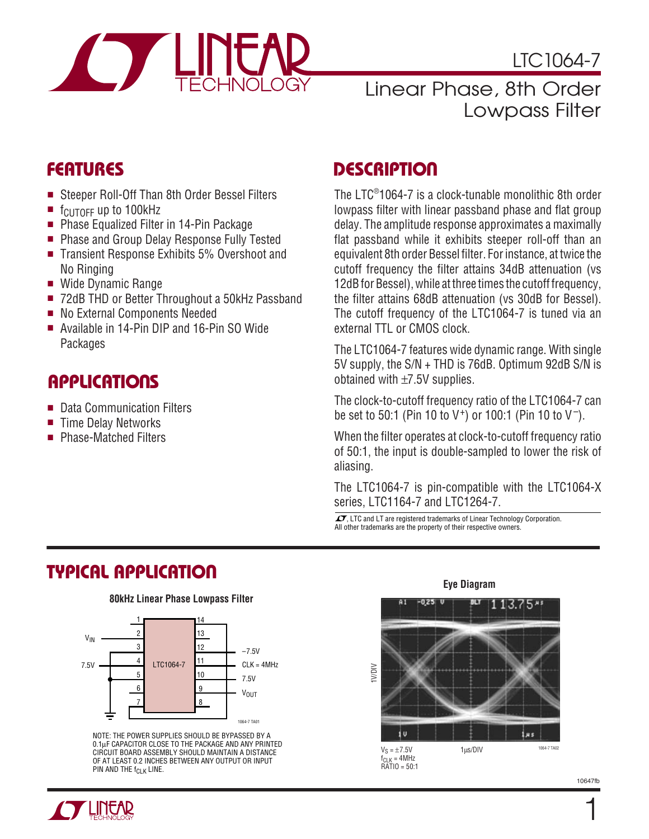

LTC1064-7

### Linear Phase, 8th Order Lowpass Filter

- Steeper Roll-Off Than 8th Order Bessel Filters
- f<sub>CUTOFF</sub> up to 100kHz
- Phase Equalized Filter in 14-Pin Package
- Phase and Group Delay Response Fully Tested
- Transient Response Exhibits 5% Overshoot and No Ringing
- Wide Dynamic Range
- 72dB THD or Better Throughout a 50kHz Passband
- No External Components Needed
- Available in 14-Pin DIP and 16-Pin SO Wide **Packages**

### **APPLICATIONS**

- Data Communication Filters
- Time Delay Networks
- Phase-Matched Filters

### **FEATURES DESCRIPTIO U**

The LTC® 1064-7 is a clock-tunable monolithic 8th order lowpass filter with linear passband phase and flat group delay. The amplitude response approximates a maximally flat passband while it exhibits steeper roll-off than an equivalent 8th order Bessel filter. For instance, at twice the cutoff frequency the filter attains 34dB attenuation (vs 12dB for Bessel), while at three times the cutoff frequency, the filter attains 68dB attenuation (vs 30dB for Bessel). The cutoff frequency of the LTC1064-7 is tuned via an external TTL or CMOS clock.

The LTC1064-7 features wide dynamic range. With single 5V supply, the S/N + THD is 76dB. Optimum 92dB S/N is obtained with ±7.5V supplies.

The clock-to-cutoff frequency ratio of the LTC1064-7 can be set to 50:1 (Pin 10 to V+) or 100:1 (Pin 10 to V–).

When the filter operates at clock-to-cutoff frequency ratio of 50:1, the input is double-sampled to lower the risk of aliasing.

The LTC1064-7 is pin-compatible with the LTC1064-X series, LTC1164-7 and LTC1264-7.

 $\overline{\mathcal{L}}$ , LTC and LT are registered trademarks of Linear Technology Corporation. All other trademarks are the property of their respective owners.

## **TYPICAL APPLICATION**

#### **80kHz Linear Phase Lowpass Filter**



NOTE: THE POWER SUPPLIES SHOULD BE BYPASSED BY A 0.1µF CAPACITOR CLOSE TO THE PACKAGE AND ANY PRINTED CIRCUIT BOARD ASSEMBLY SHOULD MAINTAIN A DISTANCE OF AT LEAST 0.2 INCHES BETWEEN ANY OUTPUT OR INPUT PIN AND THE f<sub>CLK</sub> LINE.





1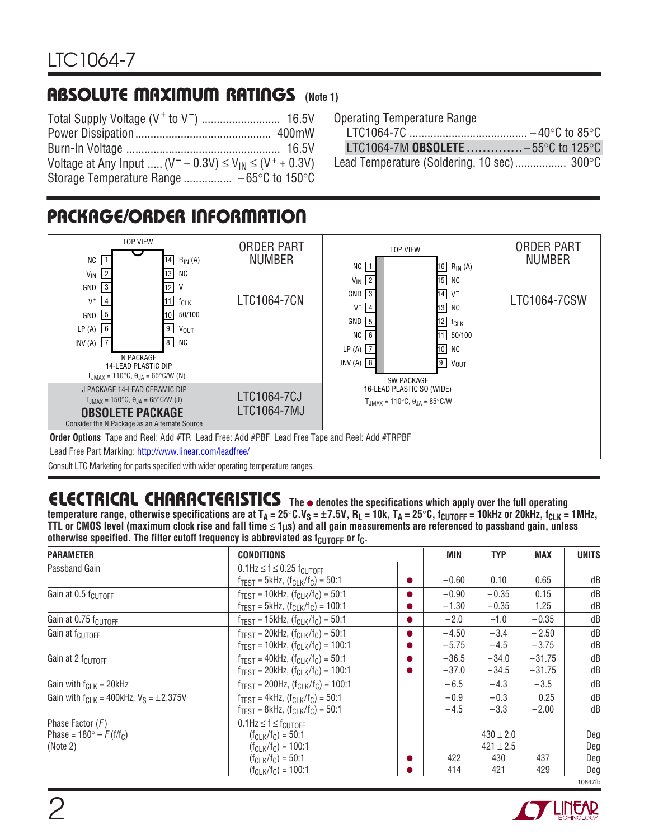### **ABSOLUTE MAXIMUM RATINGS** (Note 1)

| Voltage at Any Input $(V^- - 0.3V) \le V_{1N} \le (V^+ + 0.3V)$ |  |
|-----------------------------------------------------------------|--|
| Storage Temperature Range $-65^{\circ}$ C to 150 $^{\circ}$ C   |  |

|  | <b>Operating Temperature Range</b> |  |
|--|------------------------------------|--|
|--|------------------------------------|--|

|                                    | $-40^{\circ}$ C to 85 $^{\circ}$ C |  |
|------------------------------------|------------------------------------|--|
| LTC1064-7M OBSOLETE -55°C to 125°C |                                    |  |

Lead Temperature (Soldering, 10 sec)................. 300°C

# **PACKAGE/ORDER INFORMATION**



Consult LTC Marketing for parts specified with wider operating temperature ranges.

# **ELECTRICAL CHARACTERISTICS** The  $\bullet$  denotes the specifications which apply over the full operating

temperature range, otherwise specifications are at T<sub>A</sub> = 25°C.V<sub>S</sub> = ±7.5V, R<sub>L</sub> = 10k, T<sub>A</sub> = 25°C, f<sub>CUTOFF</sub> = 10kHz or 20kHz, f<sub>CLK</sub> = 1MHz, **TTL or CMOS level (maximum clock rise and fall time** ≤ **1**µ**s) and all gain measurements are referenced to passband gain, unless** otherwise specified. The filter cutoff frequency is abbreviated as  $f_{\text{CUTOFF}}$  or  $f_{\text{C}}$ .

|         | MIN                | <b>TYP</b>                                   | <b>MAX</b>           | <b>UNITS</b>             |
|---------|--------------------|----------------------------------------------|----------------------|--------------------------|
|         | $-0.60$            | 0.10                                         | 0.65                 | dB                       |
|         | $-0.90$<br>$-1.30$ | $-0.35$<br>$-0.35$                           | 0.15<br>1.25         | dB<br>dB                 |
| D       | $-2.0$             | $-1.0$                                       | $-0.35$              | dB                       |
| D<br>n. | $-4.50$<br>$-5.75$ | $-3.4$<br>$-4.5$                             | $-2.50$<br>$-3.75$   | dB<br>dB                 |
| n       | $-36.5$<br>$-37.0$ | $-34.0$<br>$-34.5$                           | $-31.75$<br>$-31.75$ | dB<br>dB                 |
|         | $-6.5$             | $-4.3$                                       | $-3.5$               | dB                       |
|         | $-0.9$<br>$-4.5$   | $-0.3$<br>$-3.3$                             | 0.25<br>$-2.00$      | dB<br>dB                 |
|         | 422<br>414         | $430 \pm 2.0$<br>$421 \pm 2.5$<br>430<br>421 | 437<br>429           | Deg<br>Deg<br>Deg<br>Deg |
|         |                    |                                              |                      |                          |

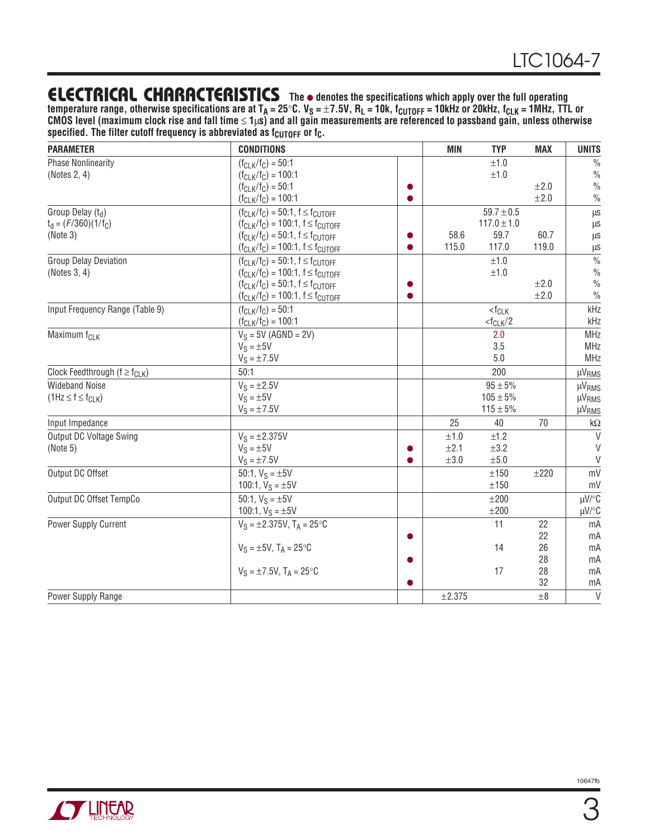### **ELECTRICAL CHARACTERISTICS** The  $\bullet$  denotes the specifications which apply over the full operating

temperature range, otherwise specifications are at T<sub>A</sub> = 25°C. V<sub>S</sub> = ±7.5V, R<sub>L</sub> = 10k, f<sub>CUTOFF</sub> = 10kHz or 20kHz, f<sub>CLK</sub> = 1MHz, TTL or **CMOS level (maximum clock rise and fall time** ≤ **1**µ**s) and all gain measurements are referenced to passband gain, unless otherwise** specified. The filter cutoff frequency is abbreviated as f<sub>CUTOFF</sub> or f<sub>C</sub>.

| <b>PARAMETER</b>                      | <b>CONDITIONS</b>                           | <b>MIN</b> | <b>TYP</b>              | <b>MAX</b> | <b>UNITS</b>       |
|---------------------------------------|---------------------------------------------|------------|-------------------------|------------|--------------------|
| <b>Phase Nonlinearity</b>             | $(f_{Cl K}/f_{C}) = 50:1$                   |            | ±1.0                    |            | $\frac{0}{0}$      |
| (Notes 2, 4)                          | $(f_{CLK}/f_C) = 100:1$                     |            | ±1.0                    |            | $\%$               |
|                                       | $(f_{CLK}/f_C) = 50:1$                      |            |                         | $\pm 2.0$  | $\frac{0}{0}$      |
|                                       | $(f_{CLK}/f_C) = 100:1$                     |            |                         | ±2.0       | $\frac{0}{0}$      |
| Group Delay (td)                      | $(f_{CLK}/f_C) = 50:1, f \le f_{CUTOFF}$    |            | $59.7 \pm 0.5$          |            | μs                 |
| $t_d = (F/360)(1/f_C)$                | $(f_{CLK}/f_C) = 100:1, f \le f_{CUTOFF}$   |            | $117.0 \pm 1.0$         |            | μs                 |
| (Note 3)                              | $(f_{CLK}/f_C) = 50:1, f \le f_{CLTOFF}$    | 58.6       | 59.7                    | 60.7       | μs                 |
|                                       | $(f_{CLK}/f_C) = 100:1, f \le f_{CUTOFF}$   | 115.0      | 117.0                   | 119.0      | μs                 |
| <b>Group Delay Deviation</b>          | $(f_{CLK}/f_C) = 50:1, f \le f_{CUTOFF}$    |            | ±1.0                    |            | $\frac{0}{0}$      |
| (Notes 3, 4)                          | $(f_{CLK}/f_{C}) = 100:1, f \le f_{CUTOFF}$ |            | ±1.0                    |            | $\frac{0}{0}$      |
|                                       | $(f_{CLK}/f_C) = 50:1, f \leq f_{CLTOFF}$   |            |                         | ±2.0       | $\frac{0}{0}$      |
|                                       | $(f_{CLK}/f_{C}) = 100:1, f \le f_{CUTOFF}$ |            |                         | ±2.0       | $\frac{0}{0}$      |
| Input Frequency Range (Table 9)       | $(f_{CLK}/f_C) = 50:1$                      |            | $<$ f $CLK$             |            | kHz                |
|                                       | $(f_{CLK}/f_C) = 100:1$                     |            | $<$ f <sub>CLK</sub> /2 |            | kHz                |
| Maximum f <sub>CLK</sub>              | $V_S = 5V (AGND = 2V)$                      |            | 2.0                     |            | MHz                |
|                                       | $V_S = \pm 5V$                              |            | 3.5                     |            | MHz                |
|                                       | $V_S = \pm 7.5V$                            |            | 5.0                     |            | MHz                |
| Clock Feedthrough ( $f \ge f_{CLK}$ ) | 50:1                                        |            | 200                     |            | µV <sub>RMS</sub>  |
| <b>Wideband Noise</b>                 | $V_S = \pm 2.5V$                            |            | $95 \pm 5\%$            |            | <b>µVRMS</b>       |
| $(1Hz \le f \le f_{CLK})$             | $V_S = \pm 5V$                              |            | $105 \pm 5\%$           |            | µV <sub>RMS</sub>  |
|                                       | $V_S = \pm 7.5V$                            |            | $115 \pm 5\%$           |            | $\mu V_{RMS}$      |
| Input Impedance                       |                                             | 25         | 40                      | 70         | $\mathsf{k}\Omega$ |
| Output DC Voltage Swing               | $V_S = \pm 2.375V$                          | $\pm 1.0$  | ±1.2                    |            | V                  |
| (Note 5)                              | $V_S = \pm 5V$                              | ±2.1       | ±3.2                    |            | $\vee$             |
|                                       | $V_S = \pm 7.5V$                            | $\pm 3.0$  | ±5.0                    |            | $\vee$             |
| Output DC Offset                      | 50:1, $V_S = \pm 5V$                        |            | ±150                    | ±220       | mV                 |
|                                       | 100:1, $V_S = \pm 5V$                       |            | ±150                    |            | mV                 |
| Output DC Offset TempCo               | 50:1, $V_S = \pm 5V$                        |            | $\pm 200$               |            | µV/°C              |
|                                       | 100:1, $V_S = \pm 5V$                       |            | ±200                    |            | µV/°C              |
| Power Supply Current                  | $V_S = \pm 2.375V$ , T <sub>A</sub> = 25°C  |            | 11                      | 22         | mA                 |
|                                       |                                             |            |                         | 22         | mA                 |
|                                       | $V_S = \pm 5V$ , $T_A = 25^{\circ}C$        |            | 14                      | 26         | mA                 |
|                                       |                                             |            |                         | 28         | mA                 |
|                                       | $V_S = \pm 7.5V$ , $T_A = 25^{\circ}C$      |            | 17                      | 28         | mA                 |
|                                       |                                             |            |                         | 32         | mA                 |
| Power Supply Range                    |                                             | ±2.375     |                         | $\pm 8$    | $\overline{V}$     |

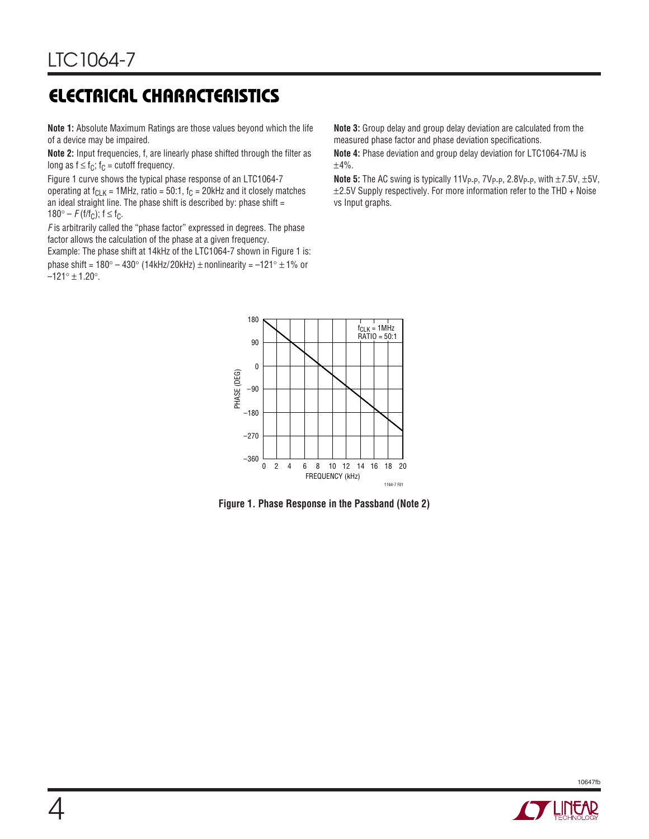# **ELECTRICAL CHARACTERISTICS**

**Note 1:** Absolute Maximum Ratings are those values beyond which the life of a device may be impaired.

**Note 2:** Input frequencies, f, are linearly phase shifted through the filter as long as  $f \leq f_C$ ;  $f_C$  = cutoff frequency.

Figure 1 curve shows the typical phase response of an LTC1064-7 operating at  $f_{CLK}$  = 1MHz, ratio = 50:1,  $f_C$  = 20kHz and it closely matches an ideal straight line. The phase shift is described by: phase shift  $=$  $180^{\circ} - F(f/f_C)$ ;  $f \le f_C$ .

F is arbitrarily called the "phase factor" expressed in degrees. The phase factor allows the calculation of the phase at a given frequency.

Example: The phase shift at 14kHz of the LTC1064-7 shown in Figure 1 is: phase shift =  $180^\circ - 430^\circ$  (14kHz/20kHz) ± nonlinearity =  $-121^\circ \pm 1\%$  or  $-121^{\circ} \pm 1.20^{\circ}$ .

**Note 3:** Group delay and group delay deviation are calculated from the measured phase factor and phase deviation specifications.

**Note 4:** Phase deviation and group delay deviation for LTC1064-7MJ is  $±4%$ .

**Note 5:** The AC swing is typically 11V<sub>P-P</sub>, 7V<sub>P-P</sub>, 2.8V<sub>P-P</sub>, with ±7.5V, ±5V,  $\pm$ 2.5V Supply respectively. For more information refer to the THD + Noise vs Input graphs.



**Figure 1. Phase Response in the Passband (Note 2)**

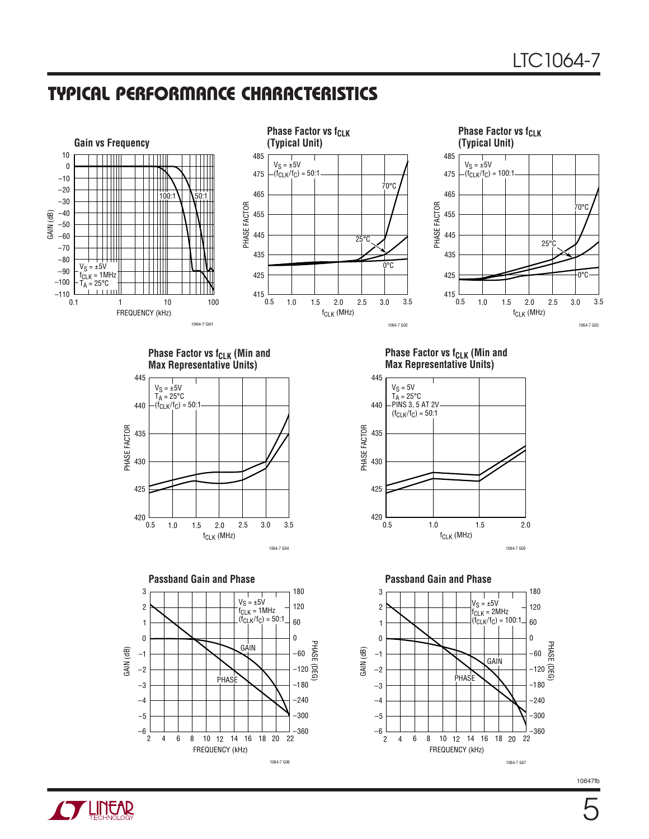FREQUENCY (kHz)

6 12 16 8 10 14 18 22

20

1064-7 G06

4

 $\overline{2}$ 



18 20

1064-7 G07

FREQUENCY (kHz)

6 12 16 8 10 14 18 22

4

2

**O LINEAR**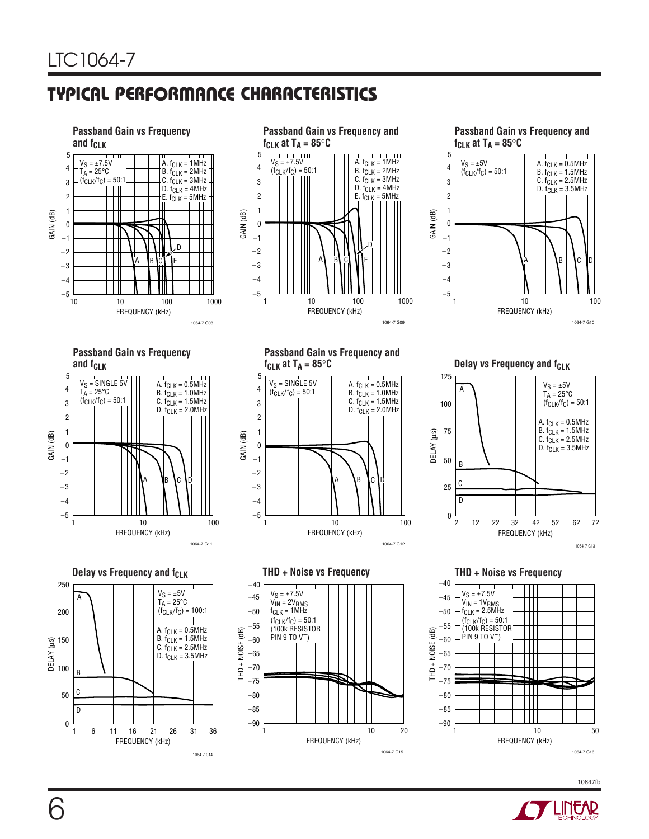

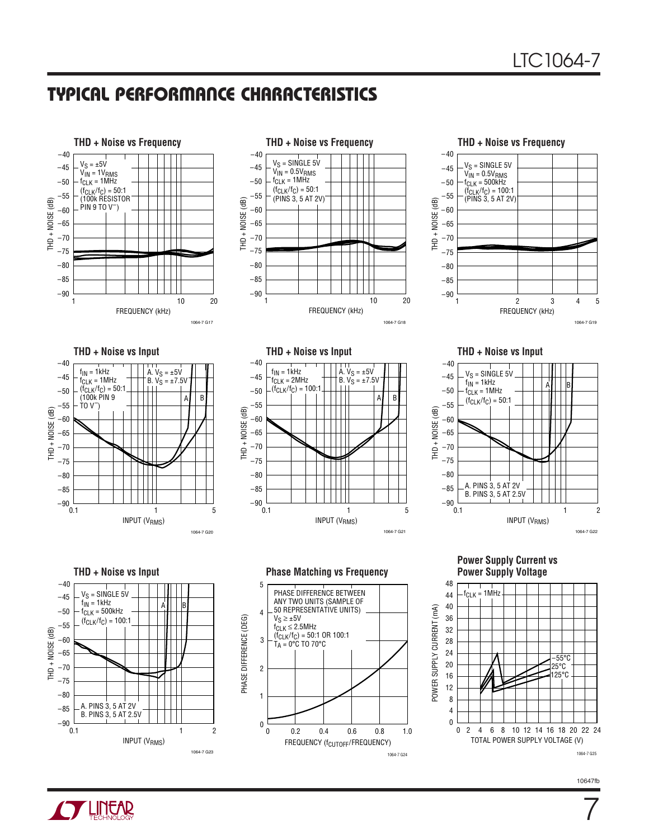







**THD + Noise vs Input THD + Noise vs Input THD + Noise vs Input**











THD + Noise vs Input **Phase Matching vs Frequency** 





7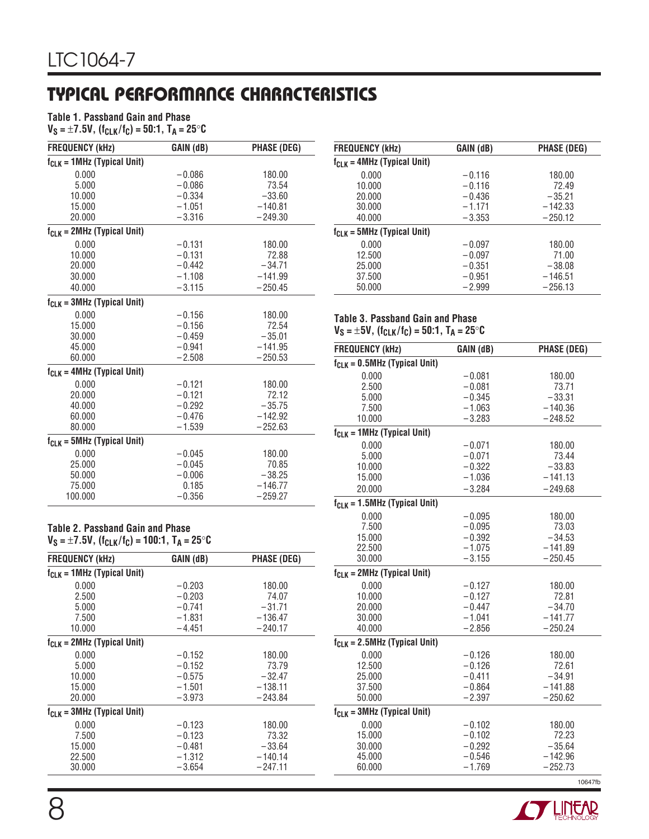#### **Table 1. Passband Gain and Phase**

 $V_S = \pm 7.5V$ ,  $(f_{CLK}/f_C) = 50:1$ ,  $T_A = 25^{\circ}C$ 

| <b>FREQUENCY (kHz)</b>           | GAIN (dB) | <b>PHASE (DEG)</b> |
|----------------------------------|-----------|--------------------|
| $f_{CLK} = 1 MHz$ (Typical Unit) |           |                    |
| 0.000                            | $-0.086$  | 180.00             |
| 5.000                            | $-0.086$  | 73.54              |
| 10.000                           | $-0.334$  | $-33.60$           |
| 15.000                           | $-1.051$  | $-140.81$          |
| 20.000                           | $-3.316$  | $-249.30$          |
| $f_{CLK} = 2MHz$ (Typical Unit)  |           |                    |
| 0.000                            | $-0.131$  | 180.00             |
| 10.000                           | $-0.131$  | 72.88              |
| 20.000                           | $-0.442$  | $-34.71$           |
| 30.000                           | $-1.108$  | $-141.99$          |
| 40.000                           | $-3.115$  | $-250.45$          |
| $f_{CLK} = 3MHz$ (Typical Unit)  |           |                    |
| 0.000                            | $-0.156$  | 180.00             |
| 15.000                           | $-0.156$  | 72.54              |
| 30,000                           | $-0.459$  | $-35.01$           |
| 45.000                           | $-0.941$  | $-141.95$          |
| 60.000                           | $-2.508$  | $-250.53$          |
| $f_{C1 K}$ = 4MHz (Typical Unit) |           |                    |
| 0.000                            | $-0.121$  | 180.00             |
| 20.000                           | $-0.121$  | 72.12              |
| 40.000                           | $-0.292$  | $-35.75$           |
| 60.000                           | $-0.476$  | $-142.92$          |
| 80.000                           | $-1.539$  | $-252.63$          |
| $f_{CLK} = 5 MHz$ (Typical Unit) |           |                    |
| 0.000                            | $-0.045$  | 180.00             |
| 25.000                           | $-0.045$  | 70.85              |
| 50.000                           | $-0.006$  | $-38.25$           |
| 75.000                           | 0.185     | $-146.77$          |
| 100.000                          | $-0.356$  | $-259.27$          |

**Table 2. Passband Gain and Phase VS =** ±**7.5V, (fCLK/fC) = 100:1, TA = 25**°**C**

| <b>FREQUENCY (kHz)</b>           | GAIN (dB) | PHASE (DEG) |
|----------------------------------|-----------|-------------|
| $f_{CLK} = 1 MHz$ (Typical Unit) |           |             |
| 0.000                            | $-0.203$  | 180.00      |
| 2.500                            | $-0.203$  | 74.07       |
| 5.000                            | $-0.741$  | $-31.71$    |
| 7.500                            | $-1.831$  | $-136.47$   |
| 10.000                           | $-4.451$  | $-240.17$   |
| $f_{CLK} = 2MHz$ (Typical Unit)  |           |             |
| 0.000                            | $-0.152$  | 180.00      |
| 5.000                            | $-0.152$  | 73.79       |
| 10.000                           | $-0.575$  | $-32.47$    |
| 15.000                           | $-1.501$  | $-138.11$   |
| 20,000                           | $-3.973$  | $-243.84$   |
| $f_{CLK} = 3 MHz$ (Typical Unit) |           |             |
| 0.000                            | $-0.123$  | 180.00      |
| 7.500                            | $-0.123$  | 73.32       |
| 15.000                           | $-0.481$  | $-33.64$    |
| 22.500                           | $-1.312$  | $-140.14$   |
| 30.000                           | $-3.654$  | $-247.11$   |

| <b>FREQUENCY (kHz)</b>           | GAIN (dB) | PHASE (DEG) |
|----------------------------------|-----------|-------------|
| $f_{CLK} = 4 MHz$ (Typical Unit) |           |             |
| 0.000                            | $-0.116$  | 180.00      |
| 10.000                           | $-0.116$  | 72.49       |
| 20.000                           | $-0.436$  | $-35.21$    |
| 30.000                           | $-1.171$  | $-142.33$   |
| 40.000                           | $-3.353$  | $-250.12$   |
| $f_{CLK} = 5 MHz$ (Typical Unit) |           |             |
| 0.000                            | $-0.097$  | 180.00      |
| 12.500                           | $-0.097$  | 71.00       |
| 25.000                           | $-0.351$  | $-38.08$    |
| 37.500                           | $-0.951$  | $-146.51$   |
| 50.000                           | $-2.999$  | $-256.13$   |

**Table 3. Passband Gain and Phase**

**VS =** ±**5V, (fCLK/fC) = 50:1, TA = 25**°**C**

| <b>FREQUENCY (kHz)</b>                 | GAIN (dB)            | <b>PHASE (DEG)</b>     |
|----------------------------------------|----------------------|------------------------|
| $f_{CLK} = 0.5$ MHz (Typical Unit)     |                      |                        |
| 0.000                                  | $-0.081$             | 180.00                 |
| 2.500                                  | $-0.081$             | 73.71                  |
| 5.000                                  | $-0.345$             | $-33.31$               |
| 7.500                                  | $-1.063$             | $-140.36$              |
| 10.000                                 | $-3.283$             | $-248.52$              |
| $f_{CLK} = 1 MHz$ (Typical Unit)       |                      |                        |
| 0.000                                  | $-0.071$             | 180.00                 |
| 5.000                                  | $-0.071$             | 73.44                  |
| 10.000                                 | $-0.322$             | $-33.83$               |
| 15.000                                 | $-1.036$             | $-141.13$              |
| 20.000                                 | $-3.284$             | $-249.68$              |
| $f_{CLK} = 1.5$ MHz (Typical Unit)     |                      |                        |
| 0.000                                  | $-0.095$             | 180.00                 |
| 7.500                                  | $-0.095$             | 73.03                  |
| 15.000                                 | $-0.392$             | $-34.53$               |
| 22.500                                 | $-1.075$             | $-141.89$              |
| 30.000                                 | $-3.155$             | $-250.45$              |
| $f_{CLK} = 2MHz$ (Typical Unit)        |                      |                        |
| 0.000                                  | $-0.127$             | 180.00                 |
| 10.000                                 | $-0.127$             | 72.81                  |
| 20.000                                 | $-0.447$             | $-34.70$               |
| 30.000                                 | $-1.041$             | $-141.77$              |
| 40.000                                 | $-2.856$             | $-250.24$              |
| $f_{CLK} = 2.5 MHz$ (Typical Unit)     |                      |                        |
| 0.000                                  | $-0.126$             | 180.00                 |
| 12.500                                 | $-0.126$             | 72.61                  |
| 25.000                                 | $-0.411$             | $-34.91$               |
| 37.500                                 | $-0.864$             | $-141.88$              |
| 50.000                                 | $-2.397$             | $-250.62$              |
| f <sub>CLK</sub> = 3MHz (Typical Unit) |                      |                        |
| 0.000                                  | $-0.102$             | 180.00                 |
| 15.000                                 | $-0.102$             | 72.23                  |
| 30.000                                 | $-0.292$             | $-35.64$               |
| 45.000<br>60.000                       | $-0.546$<br>$-1.769$ | $-142.96$<br>$-252.73$ |
|                                        |                      |                        |
|                                        |                      | 10647fb                |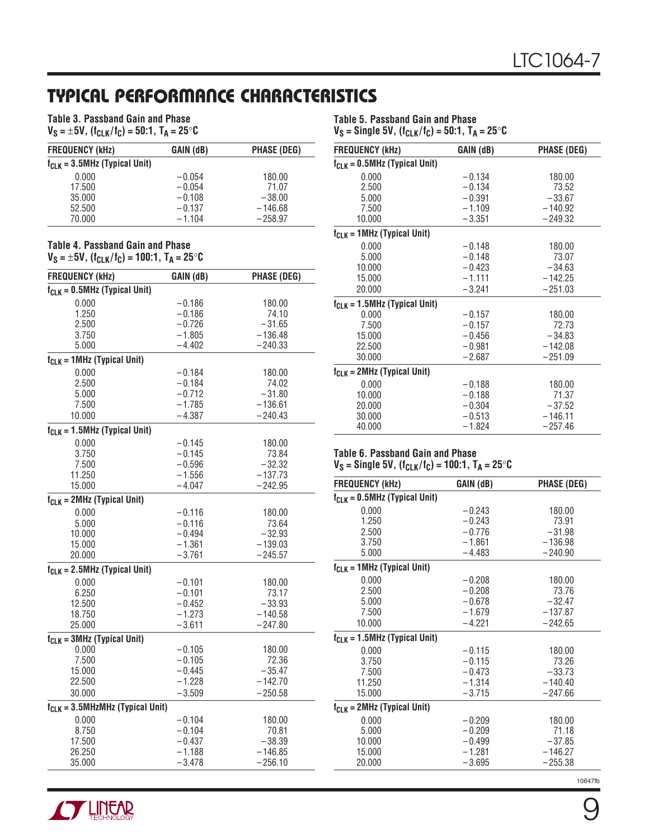## **TYPICAL PERFORMANCE CHARACTERISTICS**

| Table 3. Passband Gain and Phase |  |                                                                                    |
|----------------------------------|--|------------------------------------------------------------------------------------|
|                                  |  | $V_S = \pm 5V$ , (f <sub>CLK</sub> /f <sub>C</sub> ) = 50:1, T <sub>A</sub> = 25°C |

| <b>FREQUENCY (kHz)</b>             | GAIN (dB) | <b>PHASE (DEG)</b> |
|------------------------------------|-----------|--------------------|
| $f_{CLK} = 3.5$ MHz (Typical Unit) |           |                    |
| 0.000                              | $-0.054$  | 180.00             |
| 17.500                             | $-0.054$  | 71.07              |
| 35,000                             | $-0.108$  | $-38.00$           |
| 52,500                             | $-0.137$  | $-146.68$          |
| 70.000                             | $-1.104$  | $-258.97$          |

#### **Table 4. Passband Gain and Phase**  $V_S = \pm 5V$ ,  $(f_{CLK}/f_C) = 100.1$ ,  $T_A = 25$ °C

| <b>FREQUENCY (kHz)</b>                | GAIN (dB) | <b>PHASE (DEG)</b> |
|---------------------------------------|-----------|--------------------|
| $f_{CLK} = 0.5$ MHz (Typical Unit)    |           |                    |
| 0.000                                 | $-0.186$  | 180.00             |
| 1.250                                 | $-0.186$  | 74.10              |
| 2.500                                 | $-0.726$  | $-31.65$           |
| 3.750                                 | $-1.805$  | $-136.48$          |
| 5.000                                 | $-4.402$  | $-240.33$          |
| $f_{CLK} = 1 MHz$ (Typical Unit)      |           |                    |
| 0.000                                 | $-0.184$  | 180.00             |
| 2.500                                 | $-0.184$  | 74.02              |
| 5.000                                 | $-0.712$  | $-31.80$           |
| 7.500                                 | $-1.785$  | $-136.61$          |
| 10.000                                | $-4.387$  | $-240.43$          |
| $f_{CLK} = 1.5 MHz$ (Typical Unit)    |           |                    |
| 0.000                                 | $-0.145$  | 180.00             |
| 3.750                                 | $-0.145$  | 73.84              |
| 7.500                                 | $-0.596$  | $-32.32$           |
| 11.250                                | $-1.556$  | $-137.73$          |
| 15.000                                | $-4.047$  | $-242.95$          |
| $f_{CLK} = 2MHz$ (Typical Unit)       |           |                    |
| 0.000                                 | $-0.116$  | 180.00             |
| 5.000                                 | $-0.116$  | 73.64              |
| 10.000                                | $-0.494$  | $-32.93$           |
| 15.000                                | $-1.361$  | $-139.03$          |
| 20.000                                | $-3.761$  | $-245.57$          |
| $f_{CLK} = 2.5$ MHz (Typical Unit)    |           |                    |
| 0.000                                 | $-0.101$  | 180.00             |
| 6.250                                 | $-0.101$  | 73.17              |
| 12.500                                | $-0.452$  | $-33.93$           |
| 18.750                                | $-1.273$  | $-140.58$          |
| 25.000                                | $-3.611$  | $-247.80$          |
| $f_{CLK} = 3MHz$ (Typical Unit)       |           |                    |
| 0.000                                 | $-0.105$  | 180.00             |
| 7.500                                 | $-0.105$  | 72.36              |
| 15.000                                | $-0.445$  | $-35.47$           |
| 22.500                                | $-1.228$  | $-142.70$          |
| 30.000                                | $-3.509$  | $-250.58$          |
| $f_{CLK} = 3.5$ MHzMHz (Typical Unit) |           |                    |
| 0.000                                 | $-0.104$  | 180.00             |
| 8.750                                 | $-0.104$  | 70.81              |
| 17.500                                | $-0.437$  | $-38.39$           |
| 26.250                                | $-1.188$  | $-146.85$          |
| 35.000                                | $-3.478$  | $-256.10$          |

**Table 5. Passband Gain and Phase**  $V_S$  = Single 5V,  $(f_{CLK}/f_C)$  = 50:1,  $T_A$  = 25°C

| <b>FREQUENCY (kHz)</b>             | GAIN (dB) | <b>PHASE (DEG)</b> |
|------------------------------------|-----------|--------------------|
| $f_{CLK} = 0.5$ MHz (Typical Unit) |           |                    |
| 0.000                              | $-0.134$  | 180.00             |
| 2.500                              | $-0.134$  | 73.52              |
| 5.000                              | $-0.391$  | $-33.67$           |
| 7.500                              | $-1.109$  | $-140.92$          |
| 10.000                             | $-3.351$  | $-249.32$          |
| $f_{CLK} = 1 MHz$ (Typical Unit)   |           |                    |
| 0.000                              | $-0.148$  | 180.00             |
| 5.000                              | $-0.148$  | 73.07              |
| 10.000                             | $-0.423$  | $-34.63$           |
| 15.000                             | $-1.111$  | $-142.25$          |
| 20,000                             | $-3.241$  | $-251.03$          |
| $f_{CLK} = 1.5 MHz$ (Typical Unit) |           |                    |
| 0.000                              | $-0.157$  | 180.00             |
| 7.500                              | $-0.157$  | 72.73              |
| 15.000                             | $-0.456$  | $-34.83$           |
| 22.500                             | $-0.981$  | $-142.08$          |
| 30.000                             | $-2.687$  | $-251.09$          |
| $f_{CLK} = 2MHz$ (Typical Unit)    |           |                    |
| 0.000                              | $-0.188$  | 180.00             |
| 10.000                             | $-0.188$  | 71.37              |
| 20.000                             | $-0.304$  | $-37.52$           |
| 30.000                             | $-0.513$  | $-146.11$          |
| 40.000                             | $-1.824$  | $-257.46$          |

### **Table 6. Passband Gain and Phase**

 $V_S$  = Single 5V, (f<sub>CLK</sub>/f<sub>C</sub>) = 100:1, T<sub>A</sub> = 25 $\degree$ C

| FREQUENCY (kHz)                          | GAIN (dB) | <b>PHASE (DEG)</b> |
|------------------------------------------|-----------|--------------------|
| $f_{CLK} = 0.5$ MHz (Typical Unit)       |           |                    |
| 0.000                                    | $-0.243$  | 180.00             |
| 1.250                                    | $-0.243$  | 73.91              |
| 2.500                                    | $-0.776$  | $-31.98$           |
| 3.750                                    | $-1.861$  | $-136.98$          |
| 5.000                                    | $-4.483$  | $-240.90$          |
| f <sub>CLK</sub> = 1MHz (Typical Unit)   |           |                    |
| 0.000                                    | $-0.208$  | 180.00             |
| 2.500                                    | $-0.208$  | 73.76              |
| 5.000                                    | $-0.678$  | $-32.47$           |
| 7.500                                    | $-1.679$  | $-137.87$          |
| 10.000                                   | $-4.221$  | $-242.65$          |
| f <sub>CLK</sub> = 1.5MHz (Typical Unit) |           |                    |
| 0.000                                    | $-0.115$  | 180.00             |
| 3.750                                    | $-0.115$  | 73.26              |
| 7.500                                    | $-0.473$  | $-33.73$           |
| 11.250                                   | $-1.314$  | $-140.40$          |
| 15.000                                   | $-3.715$  | $-247.66$          |
| f <sub>CLK</sub> = 2MHz (Typical Unit)   |           |                    |
| 0.000                                    | $-0.209$  | 180.00             |
| 5.000                                    | $-0.209$  | 71.18              |
| 10.000                                   | $-0.499$  | $-37.85$           |
| 15.000                                   | $-1.281$  | $-146.27$          |
| 20.000                                   | $-3.695$  | $-255.38$          |
|                                          |           |                    |

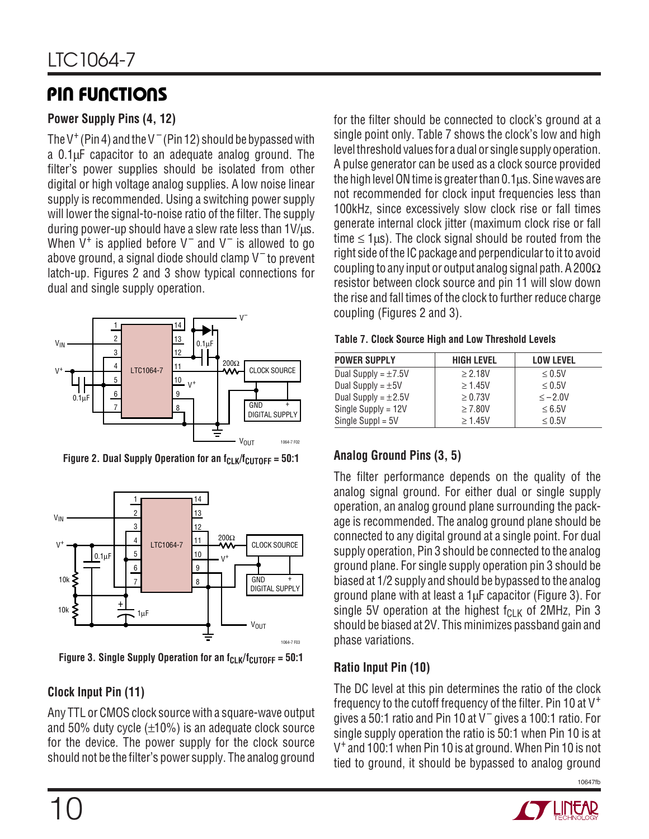# **PIN FUNCTIONS**

#### **Power Supply Pins (4, 12)**

The V<sup>+</sup> (Pin 4) and the V<sup>-</sup> (Pin 12) should be bypassed with a 0.1µF capacitor to an adequate analog ground. The filter's power supplies should be isolated from other digital or high voltage analog supplies. A low noise linear supply is recommended. Using a switching power supply will lower the signal-to-noise ratio of the filter. The supply during power-up should have a slew rate less than 1V/µs. When  $V^+$  is applied before  $V^-$  and  $V^-$  is allowed to go above ground, a signal diode should clamp  $V^-$  to prevent latch-up. Figures 2 and 3 show typical connections for dual and single supply operation.



Figure 2. Dual Supply Operation for an  $f_{CLK}/f_{CUTOFF} = 50:1$ 



Figure 3. Single Supply Operation for an f<sub>CLK</sub>/f<sub>CUTOFF</sub> = 50:1

### **Clock Input Pin (11)**

Any TTL or CMOS clock source with a square-wave output and 50% duty cycle  $(\pm 10\%)$  is an adequate clock source for the device. The power supply for the clock source should not be the filter's power supply. The analog ground

for the filter should be connected to clock's ground at a single point only. Table 7 shows the clock's low and high level threshold values for a dual or single supply operation. A pulse generator can be used as a clock source provided the high level ON time is greater than 0.1µs. Sine waves are not recommended for clock input frequencies less than 100kHz, since excessively slow clock rise or fall times generate internal clock jitter (maximum clock rise or fall time  $\leq$  1 $\mu$ s). The clock signal should be routed from the right side of the IC package and perpendicular to it to avoid coupling to any input or output analog signal path. A 200 $\Omega$ resistor between clock source and pin 11 will slow down the rise and fall times of the clock to further reduce charge coupling (Figures 2 and 3).

|  |  | <b>Table 7. Clock Source High and Low Threshold Levels</b> |  |
|--|--|------------------------------------------------------------|--|
|  |  |                                                            |  |

| <b>POWER SUPPLY</b>      | <b>HIGH LEVEL</b> | <b>LOW LEVEL</b> |
|--------------------------|-------------------|------------------|
| Dual Supply = $\pm 7.5V$ | $\geq 2.18V$      | $\leq 0.5$ V     |
| Dual Supply = $\pm$ 5V   | $\geq 1.45V$      | $\leq 0.5V$      |
| Dual Supply = $\pm 2.5V$ | $\geq 0.73V$      | $\leq -2.0V$     |
| Single Supply = $12V$    | $\geq 7.80V$      | $\leq 6.5V$      |
| Single Suppl = $5V$      | $\geq 1.45V$      | < 0.5V           |

### **Analog Ground Pins (3, 5)**

The filter performance depends on the quality of the analog signal ground. For either dual or single supply operation, an analog ground plane surrounding the package is recommended. The analog ground plane should be connected to any digital ground at a single point. For dual supply operation, Pin 3 should be connected to the analog ground plane. For single supply operation pin 3 should be biased at 1/2 supply and should be bypassed to the analog ground plane with at least a 1µF capacitor (Figure 3). For single 5V operation at the highest  $f_{\text{Cl K}}$  of 2MHz, Pin 3 should be biased at 2V. This minimizes passband gain and phase variations.

#### **Ratio Input Pin (10)**

The DC level at this pin determines the ratio of the clock frequency to the cutoff frequency of the filter. Pin 10 at  $V^+$ gives a 50:1 ratio and Pin 10 at V $^+$  gives a 100:1 ratio. For single supply operation the ratio is 50:1 when Pin 10 is at V+ and 100:1 when Pin 10 is at ground. When Pin 10 is not tied to ground, it should be bypassed to analog ground

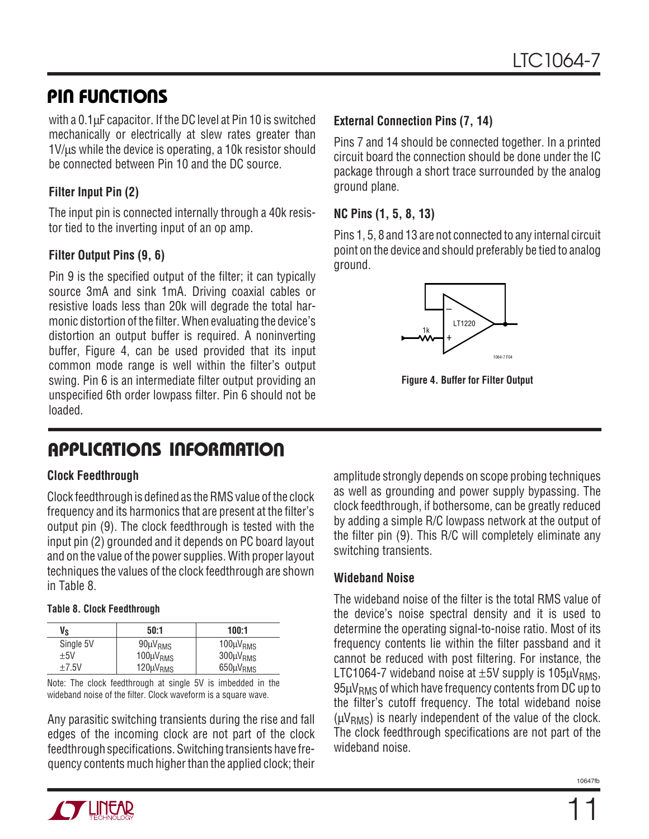### **PIN FUNCTIONS**

with a 0.1µF capacitor. If the DC level at Pin 10 is switched mechanically or electrically at slew rates greater than  $1$ V/ $\mu$ s while the device is operating, a 10k resistor should be connected between Pin 10 and the DC source.

#### **Filter Input Pin (2)**

The input pin is connected internally through a 40k resistor tied to the inverting input of an op amp.

#### **Filter Output Pins (9, 6)**

Pin 9 is the specified output of the filter; it can typically source 3mA and sink 1mA. Driving coaxial cables or resistive loads less than 20k will degrade the total harmonic distortion of the filter. When evaluating the device's distortion an output buffer is required. A noninverting buffer, Figure 4, can be used provided that its input common mode range is well within the filter's output swing. Pin 6 is an intermediate filter output providing an unspecified 6th order lowpass filter. Pin 6 should not be loaded.

# **U A S O PPLICATI W U U I FOR ATIO**

#### **Clock Feedthrough**

Clock feedthrough is defined as the RMS value of the clock frequency and its harmonics that are present at the filter's output pin (9). The clock feedthrough is tested with the input pin (2) grounded and it depends on PC board layout and on the value of the power supplies. With proper layout techniques the values of the clock feedthrough are shown in Table 8.

#### **Table 8. Clock Feedthrough**

| Vs        | 50:1                 | 100:1                |
|-----------|----------------------|----------------------|
| Single 5V | $90 \mu V_{RMS}$     | $100 \mu V_{RMS}$    |
| $+5V$     | 100µV <sub>RMS</sub> | 300µV <sub>RMS</sub> |
| $+7.5V$   | $120 \mu V_{RMS}$    | $650 \mu V_{RMS}$    |

Note: The clock feedthrough at single 5V is imbedded in the wideband noise of the filter. Clock waveform is a square wave.

Any parasitic switching transients during the rise and fall edges of the incoming clock are not part of the clock feedthrough specifications. Switching transients have frequency contents much higher than the applied clock; their

#### **External Connection Pins (7, 14)**

Pins 7 and 14 should be connected together. In a printed circuit board the connection should be done under the IC package through a short trace surrounded by the analog ground plane.

#### **NC Pins (1, 5, 8, 13)**

Pins 1, 5, 8 and 13 are not connected to any internal circuit point on the device and should preferably be tied to analog ground.



**Figure 4. Buffer for Filter Output**

amplitude strongly depends on scope probing techniques as well as grounding and power supply bypassing. The clock feedthrough, if bothersome, can be greatly reduced by adding a simple R/C lowpass network at the output of the filter pin (9). This R/C will completely eliminate any switching transients.

#### **Wideband Noise**

The wideband noise of the filter is the total RMS value of the device's noise spectral density and it is used to determine the operating signal-to-noise ratio. Most of its frequency contents lie within the filter passband and it cannot be reduced with post filtering. For instance, the LTC1064-7 wideband noise at  $\pm$ 5V supply is 105 $\mu$ V<sub>RMS</sub>,  $95\mu V_{RMS}$  of which have frequency contents from DC up to the filter's cutoff frequency. The total wideband noise  $(\mu V_{RMS})$  is nearly independent of the value of the clock. The clock feedthrough specifications are not part of the wideband noise.

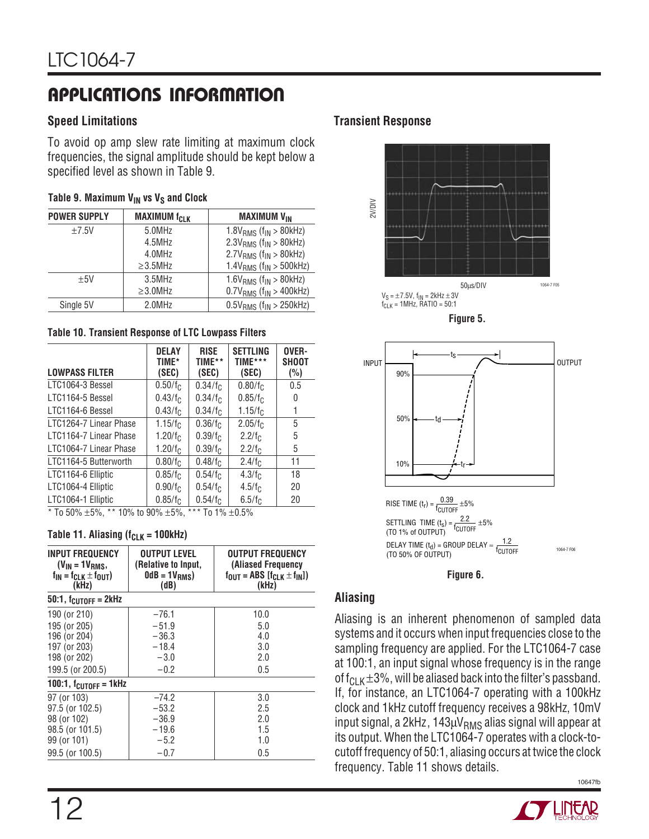# **U A S O PPLICATI W U U I FOR ATIO**

#### **Speed Limitations**

To avoid op amp slew rate limiting at maximum clock frequencies, the signal amplitude should be kept below a specified level as shown in Table 9.

#### Table 9. Maximum V<sub>IN</sub> vs V<sub>S</sub> and Clock

| <b>POWER SUPPLY</b> | <b>MAXIMUM fCLK</b> | <b>MAXIMUM VIN</b>                      |
|---------------------|---------------------|-----------------------------------------|
| ±7.5V               | 5.0MHz              | $1.8V_{RMS}$ (f <sub>IN</sub> > 80kHz)  |
|                     | 4.5MHz              | $2.3VRMS$ (f <sub>IN</sub> > 80kHz)     |
|                     | 4.0MHz              | $2.7V_{RMS}$ ( $f_{IN} > 80kHz$ )       |
|                     | $\geq$ 3.5MHz       | 1.4 $V_{RMS}$ ( $f_{IN}$ > 500kHz)      |
| ±5V                 | $3.5$ MHz           | 1.6 $V_{RMS}$ (f <sub>IN</sub> > 80kHz) |
|                     | $\geq$ 3.0MHz       | $0.7V_{RMS}$ ( $f_{IN}$ > 400kHz)       |
| Single 5V           | 2.0MHz              | $0.5V_{RMS}$ ( $f_{IN} > 250kHz$ )      |

#### **Table 10. Transient Response of LTC Lowpass Filters**

| <b>LOWPASS FILTER</b>  | <b>DELAY</b><br>TIME*<br>(SEC) | <b>RISE</b><br>TIME**<br>(SEC) | <b>SETTLING</b><br>TIME***<br>(SEC) | OVER-<br><b>SHOOT</b><br>$(\%)$ |
|------------------------|--------------------------------|--------------------------------|-------------------------------------|---------------------------------|
| LTC1064-3 Bessel       | $0.50/f_C$                     | 0.34/f <sub>C</sub>            | $0.80/f_C$                          | 0.5                             |
| LTC1164-5 Bessel       | 0.43/f <sub>C</sub>            | 0.34/f <sub>C</sub>            | 0.85/f <sub>C</sub>                 | 0                               |
|                        |                                |                                |                                     |                                 |
| LTC1164-6 Bessel       | 0.43/f <sub>C</sub>            | 0.34/f <sub>C</sub>            | 1.15/f <sub>C</sub>                 | 1                               |
| LTC1264-7 Linear Phase | 1.15/f <sub>C</sub>            | 0.36/f <sub>C</sub>            | 2.05/f <sub>C</sub>                 | 5                               |
| LTC1164-7 Linear Phase | 1.20/f <sub>C</sub>            | 0.39/fc                        | 2.2/fc                              | 5                               |
| LTC1064-7 Linear Phase | 1.20/f <sub>c</sub>            | 0.39/f <sub>C</sub>            | 2.2/fc                              | 5                               |
| LTC1164-5 Butterworth  | 0.80/fc                        | 0.48/fc                        | 2.4/fc                              | 11                              |
| LTC1164-6 Elliptic     | 0.85/f <sub>C</sub>            | 0.54/fc                        | 4.3/fc                              | 18                              |
| LTC1064-4 Elliptic     | 0.90/fc                        | 0.54/f <sub>C</sub>            | 4.5/fc                              | 20                              |
| LTC1064-1 Elliptic     | 0.85/f <sub>C</sub>            | 0.54/f <sub>C</sub>            | 6.5/fc                              | 20                              |
|                        |                                |                                |                                     |                                 |

 $*$  To 50%  $\pm$ 5%,  $*$  \* 10% to 90%  $\pm$ 5%,  $*$  \*\* To 1%  $\pm$ 0.5%

#### Table 11. Aliasing  $(f_{CLK} = 100kHz)$

| <b>INPUT FREQUENCY</b><br>$(V_{IN} = 1V_{RMS},$<br>$f_{IN} = f_{CLK} \pm f_{OUT}$<br>(kHz) | <b>OUTPUT LEVEL</b><br>(Relative to Input,<br>$0dB = 1V_{RMS}$<br>(dB) | <b>OUTPUT FREQUENCY</b><br>(Aliased Frequency<br>$f_{\text{OUT}} = \text{ABS}$ $[f_{\text{CLK}} \pm f_{\text{IN}}]$<br>(kHz) |  |
|--------------------------------------------------------------------------------------------|------------------------------------------------------------------------|------------------------------------------------------------------------------------------------------------------------------|--|
| $50:1$ , f <sub>CUTOFF</sub> = 2kHz                                                        |                                                                        |                                                                                                                              |  |
| 190 (or 210)                                                                               | $-76.1$                                                                | 10.0                                                                                                                         |  |
| 195 (or 205)                                                                               | $-51.9$                                                                | 5.0                                                                                                                          |  |
| 196 (or 204)                                                                               | $-36.3$                                                                | 4.0                                                                                                                          |  |
| 197 (or 203)                                                                               | $-18.4$                                                                | 3.0                                                                                                                          |  |
| 198 (or 202)                                                                               | $-3.0$                                                                 | 2.0                                                                                                                          |  |
| 199.5 (or 200.5)                                                                           | $-0.2$                                                                 | 0.5                                                                                                                          |  |
| 100:1, $f_{\text{CUTOFF}} = 1$ kHz                                                         |                                                                        |                                                                                                                              |  |
| 97 (or 103)                                                                                | $-74.2$                                                                | 3.0                                                                                                                          |  |
| 97.5 (or 102.5)                                                                            | $-53.2$                                                                | 2.5                                                                                                                          |  |
| 98 (or 102)                                                                                | $-36.9$                                                                | 2.0                                                                                                                          |  |
| 98.5 (or 101.5)                                                                            | $-19.6$                                                                | 1.5                                                                                                                          |  |
| 99 (or 101)                                                                                | $-5.2$                                                                 | 1.0                                                                                                                          |  |
| 99.5 (or 100.5)                                                                            | $-0.7$                                                                 | 0.5                                                                                                                          |  |

#### **Transient Response**









#### **Aliasing**

Aliasing is an inherent phenomenon of sampled data systems and it occurs when input frequencies close to the sampling frequency are applied. For the LTC1064-7 case at 100:1, an input signal whose frequency is in the range of  $f_{\text{CL K}} \pm 3\%$ , will be aliased back into the filter's passband. If, for instance, an LTC1064-7 operating with a 100kHz clock and 1kHz cutoff frequency receives a 98kHz, 10mV input signal, a 2kHz,  $143 \mu V_{RMS}$  alias signal will appear at its output. When the LTC1064-7 operates with a clock-tocutoff frequency of 50:1, aliasing occurs at twice the clock frequency. Table 11 shows details.

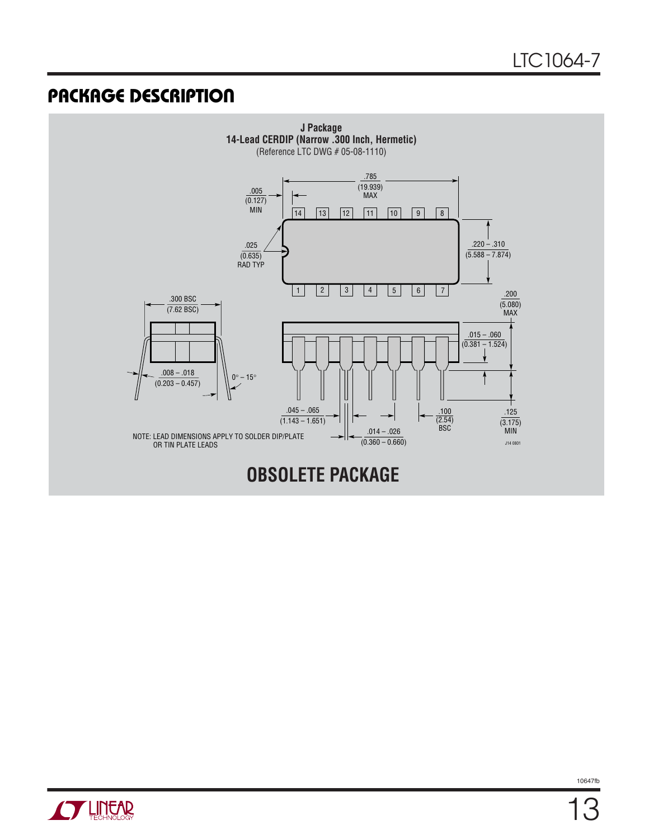### **U PACKAGE DESCRIPTIO**



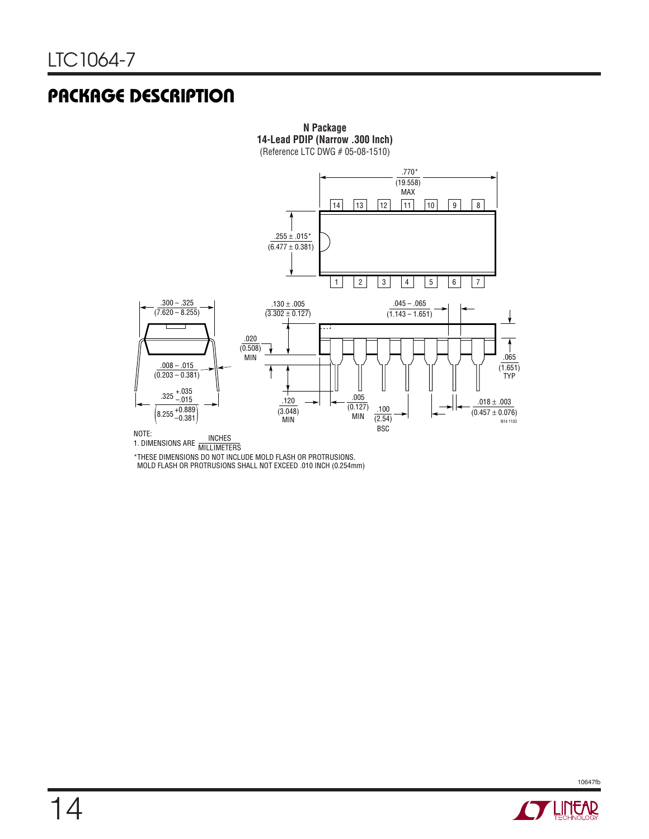## **U PACKAGE DESCRIPTIO**



**N Package**

\*THESE DIMENSIONS DO NOT INCLUDE MOLD FLASH OR PROTRUSIONS. MOLD FLASH OR PROTRUSIONS SHALL NOT EXCEED .010 INCH (0.254mm)

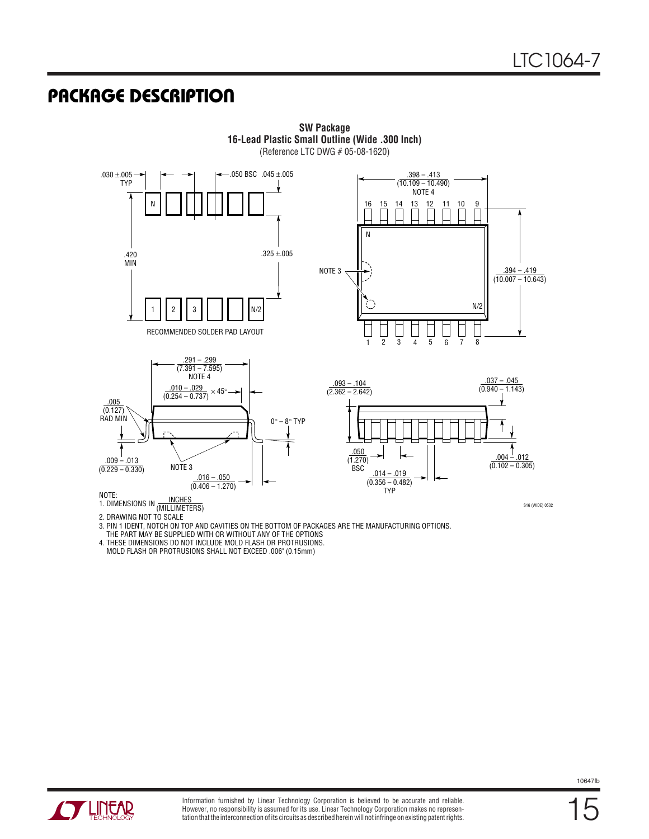### **U PACKAGE DESCRIPTIO**



**SW Package 16-Lead Plastic Small Outline (Wide .300 Inch)** (Reference LTC DWG # 05-08-1620)

3. PIN 1 IDENT, NOTCH ON TOP AND CAVITIES ON THE BOTTOM OF PACKAGES ARE THE MANUFACTURING OPTIONS.

4. THESE DIMENSIONS DO NOT INCLUDE MOLD FLASH OR PROTRUSIONS.

MOLD FLASH OR PROTRUSIONS SHALL NOT EXCEED .006" (0.15mm)



THE PART MAY BE SUPPLIED WITH OR WITHOUT ANY OF THE OPTIONS